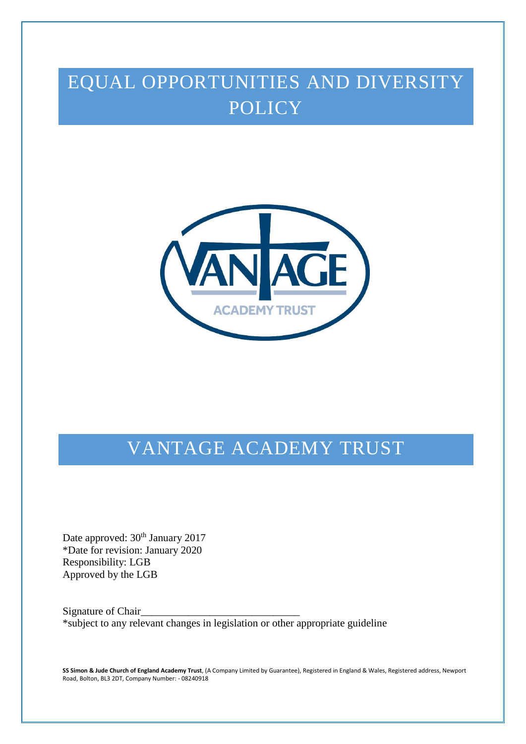# EQUAL OPPORTUNITIES AND DIVERSITY **POLICY**



# VANTAGE ACADEMY TRUST

Date approved:  $30<sup>th</sup>$  January 2017 \*Date for revision: January 2020 Responsibility: LGB Approved by the LGB

Signature of Chair\_ \*subject to any relevant changes in legislation or other appropriate guideline

**SS Simon & Jude Church of England Academy Trust**, (A Company Limited by Guarantee), Registered in England & Wales, Registered address, Newport Road, Bolton, BL3 2DT, Company Number: - 08240918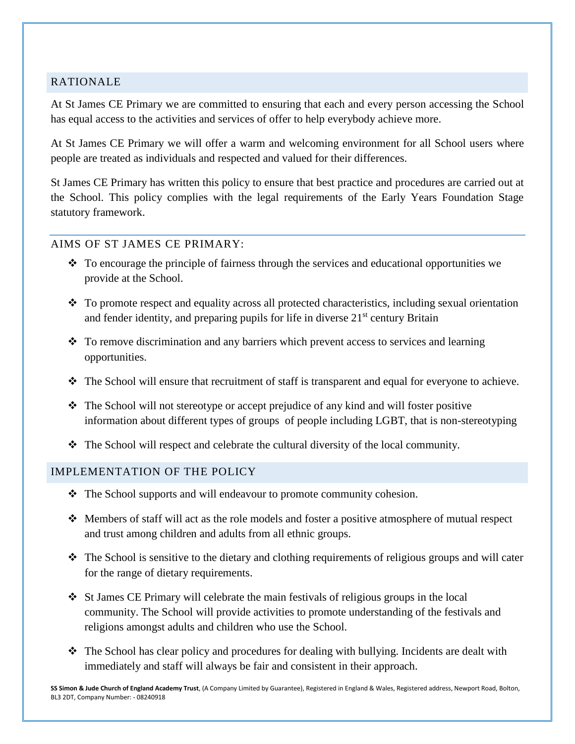#### RATIONALE

At St James CE Primary we are committed to ensuring that each and every person accessing the School has equal access to the activities and services of offer to help everybody achieve more.

At St James CE Primary we will offer a warm and welcoming environment for all School users where people are treated as individuals and respected and valued for their differences.

St James CE Primary has written this policy to ensure that best practice and procedures are carried out at the School. This policy complies with the legal requirements of the Early Years Foundation Stage statutory framework.

#### AIMS OF ST JAMES CE PRIMARY:

- \* To encourage the principle of fairness through the services and educational opportunities we provide at the School.
- $\cdot$  To promote respect and equality across all protected characteristics, including sexual orientation and fender identity, and preparing pupils for life in diverse  $21<sup>st</sup>$  century Britain
- $\cdot$  To remove discrimination and any barriers which prevent access to services and learning opportunities.
- \* The School will ensure that recruitment of staff is transparent and equal for everyone to achieve.
- $\div$  The School will not stereotype or accept prejudice of any kind and will foster positive information about different types of groups of people including LGBT, that is non-stereotyping
- $\hat{\mathbf{v}}$  The School will respect and celebrate the cultural diversity of the local community.

#### IMPLEMENTATION OF THE POLICY

- The School supports and will endeavour to promote community cohesion.
- Members of staff will act as the role models and foster a positive atmosphere of mutual respect and trust among children and adults from all ethnic groups.
- The School is sensitive to the dietary and clothing requirements of religious groups and will cater for the range of dietary requirements.
- $\div$  St James CE Primary will celebrate the main festivals of religious groups in the local community. The School will provide activities to promote understanding of the festivals and religions amongst adults and children who use the School.
- The School has clear policy and procedures for dealing with bullying. Incidents are dealt with immediately and staff will always be fair and consistent in their approach.

**SS Simon & Jude Church of England Academy Trust**, (A Company Limited by Guarantee), Registered in England & Wales, Registered address, Newport Road, Bolton, BL3 2DT, Company Number: - 08240918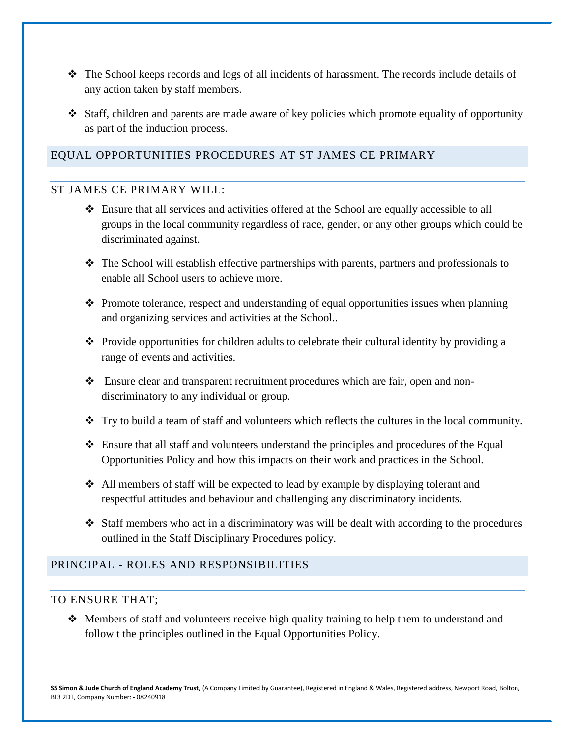- The School keeps records and logs of all incidents of harassment. The records include details of any action taken by staff members.
- Staff, children and parents are made aware of key policies which promote equality of opportunity as part of the induction process.

# EQUAL OPPORTUNITIES PROCEDURES AT ST JAMES CE PRIMARY

#### ST JAMES CE PRIMARY WILL:

- Ensure that all services and activities offered at the School are equally accessible to all groups in the local community regardless of race, gender, or any other groups which could be discriminated against.
- $\cdot \cdot$  The School will establish effective partnerships with parents, partners and professionals to enable all School users to achieve more.
- \* Promote tolerance, respect and understanding of equal opportunities issues when planning and organizing services and activities at the School..
- $\bullet$  Provide opportunities for children adults to celebrate their cultural identity by providing a range of events and activities.
- Ensure clear and transparent recruitment procedures which are fair, open and nondiscriminatory to any individual or group.
- $\cdot \cdot$  Try to build a team of staff and volunteers which reflects the cultures in the local community.
- Ensure that all staff and volunteers understand the principles and procedures of the Equal Opportunities Policy and how this impacts on their work and practices in the School.
- All members of staff will be expected to lead by example by displaying tolerant and respectful attitudes and behaviour and challenging any discriminatory incidents.
- $\div$  Staff members who act in a discriminatory was will be dealt with according to the procedures outlined in the Staff Disciplinary Procedures policy.

## PRINCIPAL - ROLES AND RESPONSIBILITIES

#### TO ENSURE THAT;

• Members of staff and volunteers receive high quality training to help them to understand and follow t the principles outlined in the Equal Opportunities Policy.